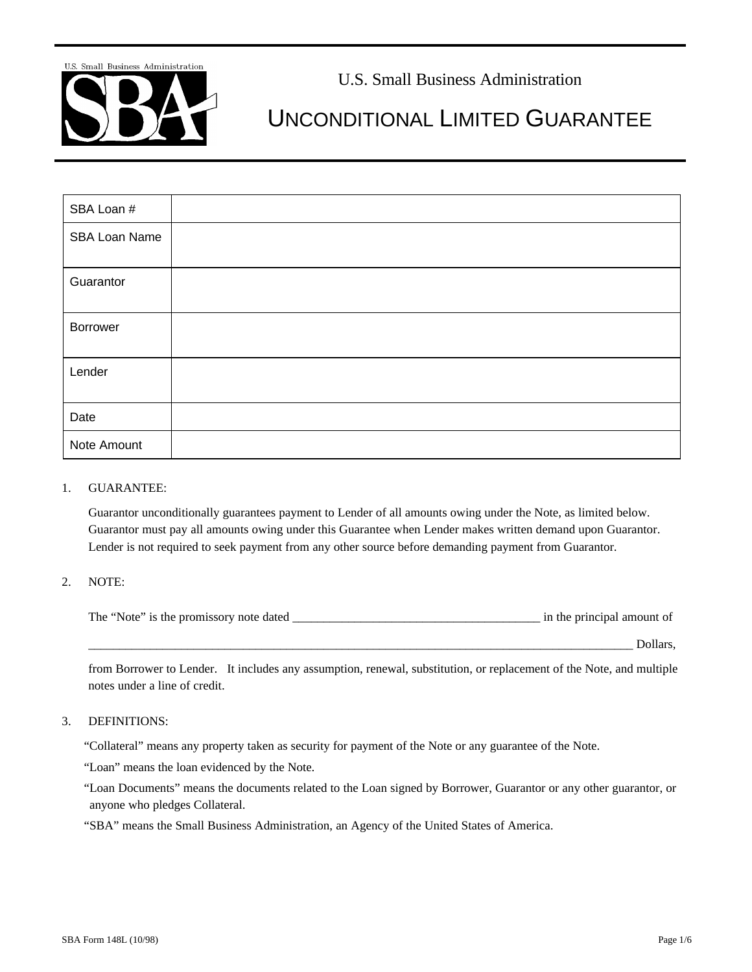

# U.S. Small Business Administration

# UNCONDITIONAL LIMITED GUARANTEE

| SBA Loan #    |  |
|---------------|--|
| SBA Loan Name |  |
| Guarantor     |  |
| Borrower      |  |
| Lender        |  |
| Date          |  |
| Note Amount   |  |

#### 1. GUARANTEE:

Guarantor unconditionally guarantees payment to Lender of all amounts owing under the Note, as limited below. Guarantor must pay all amounts owing under this Guarantee when Lender makes written demand upon Guarantor. Lender is not required to seek payment from any other source before demanding payment from Guarantor.

#### 2. NOTE:

| The "Note" is the promissory note dated | in the principal amount of |
|-----------------------------------------|----------------------------|
|                                         |                            |

from Borrower to Lender. It includes any assumption, renewal, substitution, or replacement of the Note, and multiple notes under a line of credit.

#### 3. DEFINITIONS:

"Collateral" means any property taken as security for payment of the Note or any guarantee of the Note.

"Loan" means the loan evidenced by the Note.

"Loan Documents" means the documents related to the Loan signed by Borrower, Guarantor or any other guarantor, or anyone who pledges Collateral.

"SBA" means the Small Business Administration, an Agency of the United States of America.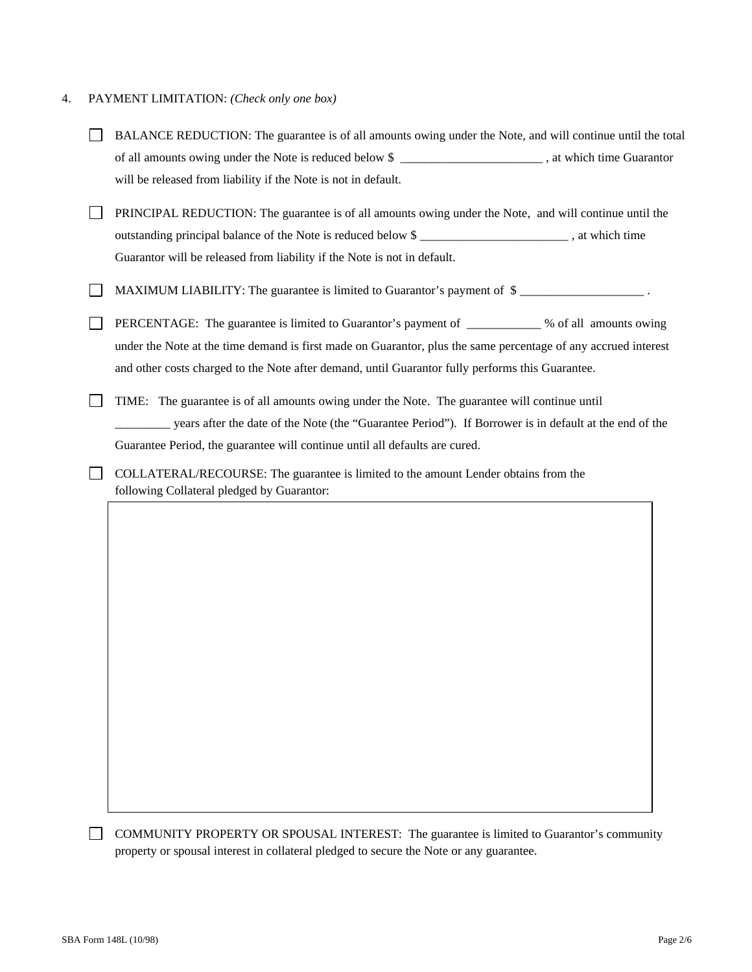# 4. PAYMENT LIMITATION: *(Check only one box)*

| BALANCE REDUCTION: The guarantee is of all amounts owing under the Note, and will continue until the total                        |  |
|-----------------------------------------------------------------------------------------------------------------------------------|--|
| of all amounts owing under the Note is reduced below \$ _______________________, at which time Guarantor                          |  |
| will be released from liability if the Note is not in default.                                                                    |  |
| PRINCIPAL REDUCTION: The guarantee is of all amounts owing under the Note, and will continue until the                            |  |
| outstanding principal balance of the Note is reduced below \$______________________________, at which time                        |  |
| Guarantor will be released from liability if the Note is not in default.                                                          |  |
| MAXIMUM LIABILITY: The guarantee is limited to Guarantor's payment of \$                                                          |  |
| PERCENTAGE: The guarantee is limited to Guarantor's payment of __________ % of all amounts owing                                  |  |
| under the Note at the time demand is first made on Guarantor, plus the same percentage of any accrued interest                    |  |
| and other costs charged to the Note after demand, until Guarantor fully performs this Guarantee.                                  |  |
| TIME: The guarantee is of all amounts owing under the Note. The guarantee will continue until                                     |  |
| years after the date of the Note (the "Guarantee Period"). If Borrower is in default at the end of the                            |  |
| Guarantee Period, the guarantee will continue until all defaults are cured.                                                       |  |
| COLLATERAL/RECOURSE: The guarantee is limited to the amount Lender obtains from the<br>following Collateral pledged by Guarantor: |  |
|                                                                                                                                   |  |
|                                                                                                                                   |  |
|                                                                                                                                   |  |
|                                                                                                                                   |  |
|                                                                                                                                   |  |
|                                                                                                                                   |  |
|                                                                                                                                   |  |
|                                                                                                                                   |  |
|                                                                                                                                   |  |
|                                                                                                                                   |  |
|                                                                                                                                   |  |
|                                                                                                                                   |  |
|                                                                                                                                   |  |

COMMUNITY PROPERTY OR SPOUSAL INTEREST: The guarantee is limited to Guarantor's community property or spousal interest in collateral pledged to secure the Note or any guarantee.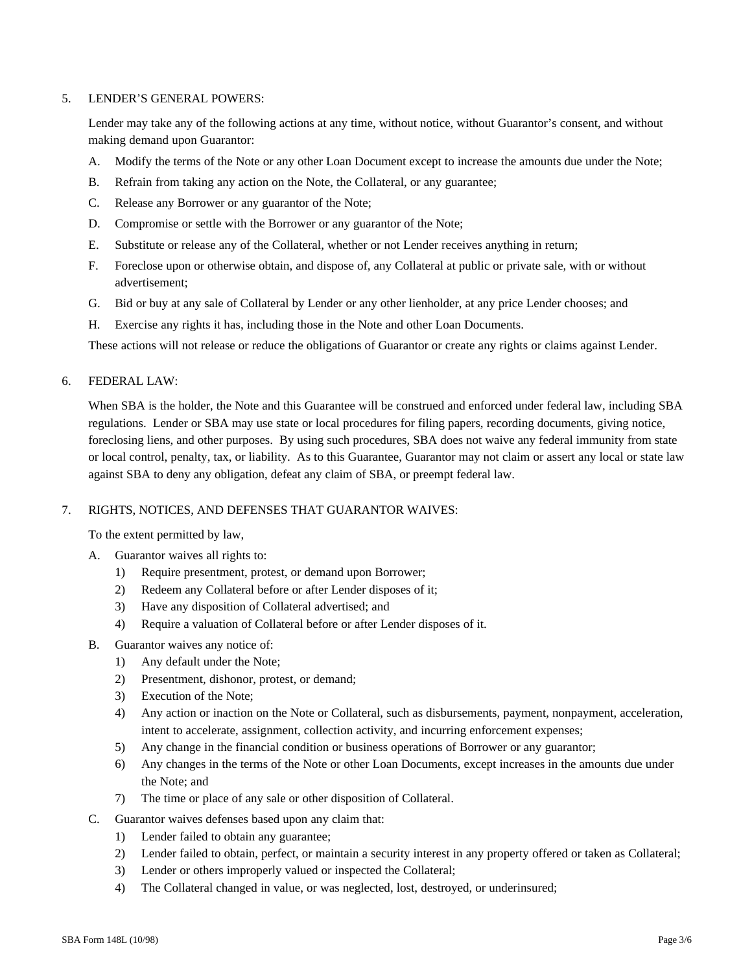# 5. LENDER'S GENERAL POWERS:

Lender may take any of the following actions at any time, without notice, without Guarantor's consent, and without making demand upon Guarantor:

- A. Modify the terms of the Note or any other Loan Document except to increase the amounts due under the Note;
- B. Refrain from taking any action on the Note, the Collateral, or any guarantee;
- C. Release any Borrower or any guarantor of the Note;
- D. Compromise or settle with the Borrower or any guarantor of the Note;
- E. Substitute or release any of the Collateral, whether or not Lender receives anything in return;
- F. Foreclose upon or otherwise obtain, and dispose of, any Collateral at public or private sale, with or without advertisement;
- G. Bid or buy at any sale of Collateral by Lender or any other lienholder, at any price Lender chooses; and
- H. Exercise any rights it has, including those in the Note and other Loan Documents.

These actions will not release or reduce the obligations of Guarantor or create any rights or claims against Lender.

### 6. FEDERAL LAW:

When SBA is the holder, the Note and this Guarantee will be construed and enforced under federal law, including SBA regulations. Lender or SBA may use state or local procedures for filing papers, recording documents, giving notice, foreclosing liens, and other purposes. By using such procedures, SBA does not waive any federal immunity from state or local control, penalty, tax, or liability. As to this Guarantee, Guarantor may not claim or assert any local or state law against SBA to deny any obligation, defeat any claim of SBA, or preempt federal law.

## 7. RIGHTS, NOTICES, AND DEFENSES THAT GUARANTOR WAIVES:

To the extent permitted by law,

- A. Guarantor waives all rights to:
	- 1) Require presentment, protest, or demand upon Borrower;
	- 2) Redeem any Collateral before or after Lender disposes of it;
	- 3) Have any disposition of Collateral advertised; and
	- 4) Require a valuation of Collateral before or after Lender disposes of it.
- B. Guarantor waives any notice of:
	- 1) Any default under the Note;
	- 2) Presentment, dishonor, protest, or demand;
	- 3) Execution of the Note;
	- 4) Any action or inaction on the Note or Collateral, such as disbursements, payment, nonpayment, acceleration, intent to accelerate, assignment, collection activity, and incurring enforcement expenses;
	- 5) Any change in the financial condition or business operations of Borrower or any guarantor;
	- 6) Any changes in the terms of the Note or other Loan Documents, except increases in the amounts due under the Note; and
	- 7) The time or place of any sale or other disposition of Collateral.
- C. Guarantor waives defenses based upon any claim that:
	- 1) Lender failed to obtain any guarantee;
	- 2) Lender failed to obtain, perfect, or maintain a security interest in any property offered or taken as Collateral;
	- 3) Lender or others improperly valued or inspected the Collateral;
	- 4) The Collateral changed in value, or was neglected, lost, destroyed, or underinsured;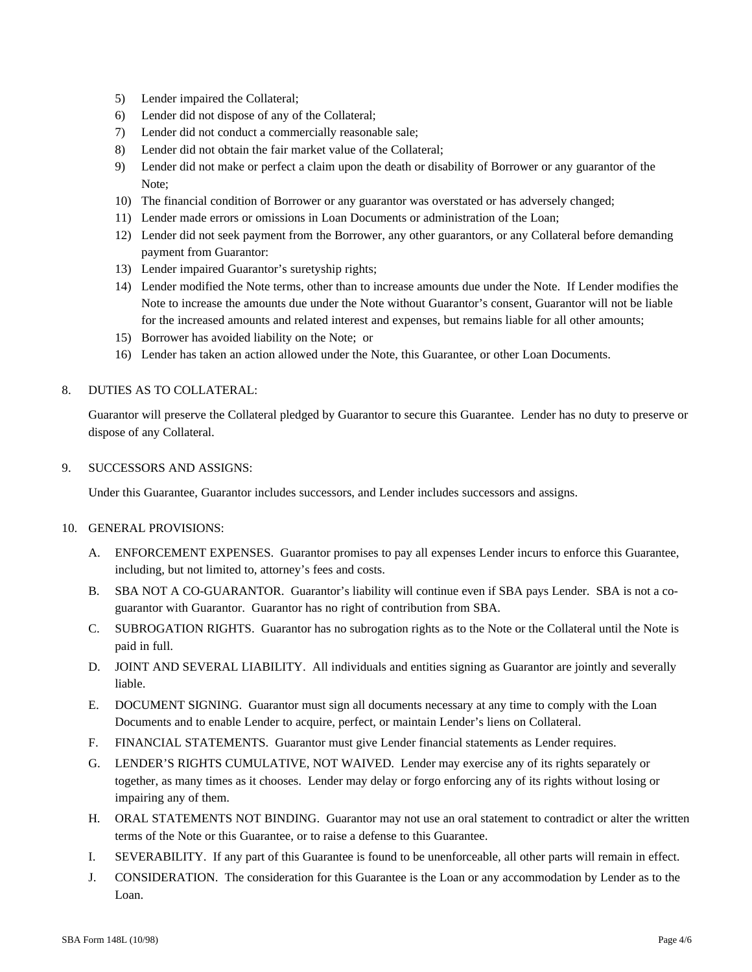- 5) Lender impaired the Collateral;
- 6) Lender did not dispose of any of the Collateral;
- 7) Lender did not conduct a commercially reasonable sale;
- 8) Lender did not obtain the fair market value of the Collateral;
- 9) Lender did not make or perfect a claim upon the death or disability of Borrower or any guarantor of the Note;
- 10) The financial condition of Borrower or any guarantor was overstated or has adversely changed;
- 11) Lender made errors or omissions in Loan Documents or administration of the Loan;
- 12) Lender did not seek payment from the Borrower, any other guarantors, or any Collateral before demanding payment from Guarantor:
- 13) Lender impaired Guarantor's suretyship rights;
- 14) Lender modified the Note terms, other than to increase amounts due under the Note. If Lender modifies the Note to increase the amounts due under the Note without Guarantor's consent, Guarantor will not be liable for the increased amounts and related interest and expenses, but remains liable for all other amounts;
- 15) Borrower has avoided liability on the Note; or
- 16) Lender has taken an action allowed under the Note, this Guarantee, or other Loan Documents.

### 8. DUTIES AS TO COLLATERAL:

Guarantor will preserve the Collateral pledged by Guarantor to secure this Guarantee. Lender has no duty to preserve or dispose of any Collateral.

#### 9. SUCCESSORS AND ASSIGNS:

Under this Guarantee, Guarantor includes successors, and Lender includes successors and assigns.

#### 10. GENERAL PROVISIONS:

- A. ENFORCEMENT EXPENSES. Guarantor promises to pay all expenses Lender incurs to enforce this Guarantee, including, but not limited to, attorney's fees and costs.
- B. SBA NOT A CO-GUARANTOR. Guarantor's liability will continue even if SBA pays Lender. SBA is not a coguarantor with Guarantor. Guarantor has no right of contribution from SBA.
- C. SUBROGATION RIGHTS. Guarantor has no subrogation rights as to the Note or the Collateral until the Note is paid in full.
- D. JOINT AND SEVERAL LIABILITY. All individuals and entities signing as Guarantor are jointly and severally liable.
- E. DOCUMENT SIGNING. Guarantor must sign all documents necessary at any time to comply with the Loan Documents and to enable Lender to acquire, perfect, or maintain Lender's liens on Collateral.
- F. FINANCIAL STATEMENTS. Guarantor must give Lender financial statements as Lender requires.
- G. LENDER'S RIGHTS CUMULATIVE, NOT WAIVED. Lender may exercise any of its rights separately or together, as many times as it chooses. Lender may delay or forgo enforcing any of its rights without losing or impairing any of them.
- H. ORAL STATEMENTS NOT BINDING. Guarantor may not use an oral statement to contradict or alter the written terms of the Note or this Guarantee, or to raise a defense to this Guarantee.
- I. SEVERABILITY. If any part of this Guarantee is found to be unenforceable, all other parts will remain in effect.
- J. CONSIDERATION. The consideration for this Guarantee is the Loan or any accommodation by Lender as to the Loan.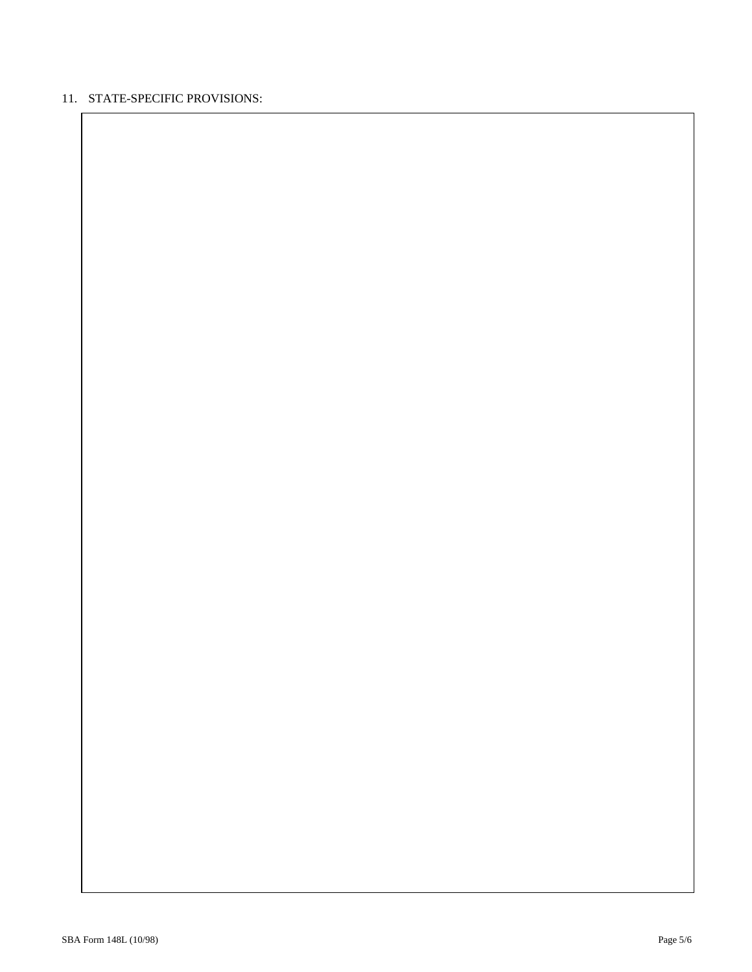# 11. STATE-SPECIFIC PROVISIONS: